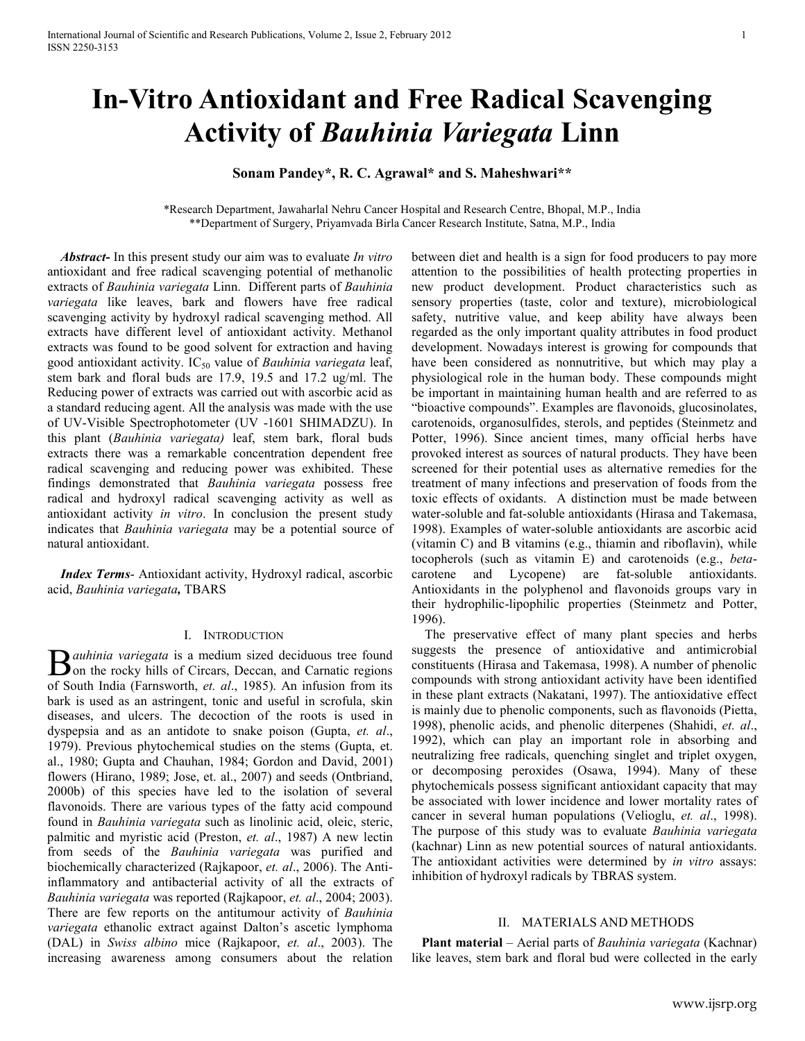# **In-Vitro Antioxidant and Free Radical Scavenging Activity of** *Bauhinia Variegata* **Linn**

## **Sonam Pandey\*, R. C. Agrawal\* and S. Maheshwari\*\***

\*Research Department, Jawaharlal Nehru Cancer Hospital and Research Centre, Bhopal, M.P., India \*\*Department of Surgery, Priyamvada Birla Cancer Research Institute, Satna, M.P., India

 *Abstract***-** In this present study our aim was to evaluate *In vitro* antioxidant and free radical scavenging potential of methanolic extracts of *Bauhinia variegata* Linn. Different parts of *Bauhinia variegata* like leaves, bark and flowers have free radical scavenging activity by hydroxyl radical scavenging method. All extracts have different level of antioxidant activity. Methanol extracts was found to be good solvent for extraction and having good antioxidant activity. IC50 value of *Bauhinia variegata* leaf, stem bark and floral buds are 17.9, 19.5 and 17.2 ug/ml. The Reducing power of extracts was carried out with ascorbic acid as a standard reducing agent. All the analysis was made with the use of UV-Visible Spectrophotometer (UV -1601 SHIMADZU). In this plant (*Bauhinia variegata)* leaf, stem bark, floral buds extracts there was a remarkable concentration dependent free radical scavenging and reducing power was exhibited. These findings demonstrated that *Bauhinia variegata* possess free radical and hydroxyl radical scavenging activity as well as antioxidant activity *in vitro*. In conclusion the present study indicates that *Bauhinia variegata* may be a potential source of natural antioxidant.

 *Index Terms*- Antioxidant activity, Hydroxyl radical, ascorbic acid, *Bauhinia variegata,* TBARS

#### I. INTRODUCTION

*auhinia variegata* is a medium sized deciduous tree found  $\sum$ *auhinia variegata* is a medium sized deciduous tree found<br>on the rocky hills of Circars, Deccan, and Carnatic regions<br>of Statistic Carnacy decided to the site of the form its of South India (Farnsworth, *et. al*., 1985). An infusion from its bark is used as an astringent, tonic and useful in scrofula, skin diseases, and ulcers. The decoction of the roots is used in dyspepsia and as an antidote to snake poison (Gupta, *et. al*., 1979). Previous phytochemical studies on the stems (Gupta, et. al., 1980; Gupta and Chauhan, 1984; Gordon and David, 2001) flowers (Hirano, 1989; Jose, et. al., 2007) and seeds (Ontbriand, 2000b) of this species have led to the isolation of several flavonoids. There are various types of the fatty acid compound found in *Bauhinia variegata* such as linolinic acid, oleic, steric, palmitic and myristic acid (Preston, *et. al*., 1987) A new lectin from seeds of the *Bauhinia variegata* was purified and biochemically characterized (Rajkapoor, *et. al*., 2006). The Antiinflammatory and antibacterial activity of all the extracts of *Bauhinia variegata* was reported (Rajkapoor, *et. al*., 2004; 2003). There are few reports on the antitumour activity of *Bauhinia variegata* ethanolic extract against Dalton's ascetic lymphoma (DAL) in *Swiss albino* mice (Rajkapoor, *et. al*., 2003). The increasing awareness among consumers about the relation

between diet and health is a sign for food producers to pay more attention to the possibilities of health protecting properties in new product development. Product characteristics such as sensory properties (taste, color and texture), microbiological safety, nutritive value, and keep ability have always been regarded as the only important quality attributes in food product development. Nowadays interest is growing for compounds that have been considered as nonnutritive, but which may play a physiological role in the human body. These compounds might be important in maintaining human health and are referred to as "bioactive compounds". Examples are flavonoids, glucosinolates, carotenoids, organosulfides, sterols, and peptides (Steinmetz and Potter, 1996). Since ancient times, many official herbs have provoked interest as sources of natural products. They have been screened for their potential uses as alternative remedies for the treatment of many infections and preservation of foods from the toxic effects of oxidants. A distinction must be made between water-soluble and fat-soluble antioxidants (Hirasa and Takemasa, 1998). Examples of water-soluble antioxidants are ascorbic acid (vitamin C) and B vitamins (e.g., thiamin and riboflavin), while tocopherols (such as vitamin E) and carotenoids (e.g., *beta*carotene and Lycopene) are fat-soluble antioxidants. Antioxidants in the polyphenol and flavonoids groups vary in their hydrophilic-lipophilic properties (Steinmetz and Potter, 1996).

 The preservative effect of many plant species and herbs suggests the presence of antioxidative and antimicrobial constituents (Hirasa and Takemasa, 1998). A number of phenolic compounds with strong antioxidant activity have been identified in these plant extracts (Nakatani, 1997). The antioxidative effect is mainly due to phenolic components, such as flavonoids (Pietta, 1998), phenolic acids, and phenolic diterpenes (Shahidi, *et. al*., 1992), which can play an important role in absorbing and neutralizing free radicals, quenching singlet and triplet oxygen, or decomposing peroxides (Osawa, 1994). Many of these phytochemicals possess significant antioxidant capacity that may be associated with lower incidence and lower mortality rates of cancer in several human populations (Velioglu, *et. al*., 1998). The purpose of this study was to evaluate *Bauhinia variegata* (kachnar) Linn as new potential sources of natural antioxidants. The antioxidant activities were determined by *in vitro* assays: inhibition of hydroxyl radicals by TBRAS system.

#### II. MATERIALS AND METHODS

 **Plant material** – Aerial parts of *Bauhinia variegata* (Kachnar) like leaves, stem bark and floral bud were collected in the early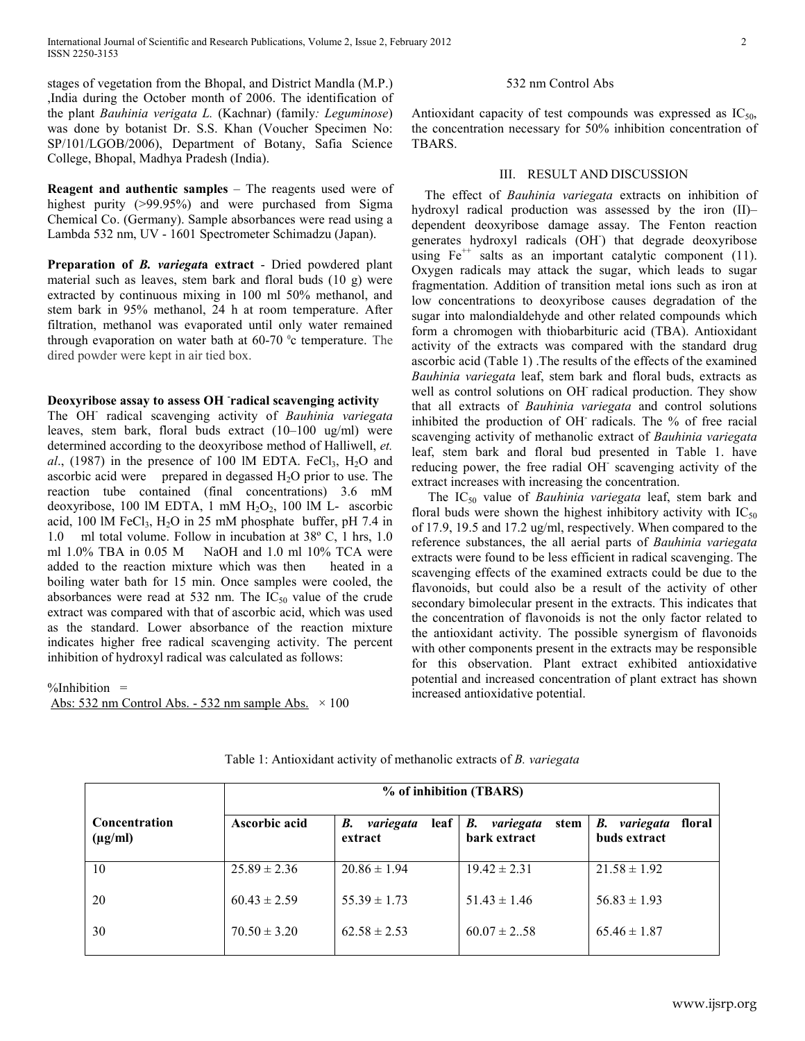stages of vegetation from the Bhopal, and District Mandla (M.P.) ,India during the October month of 2006. The identification of the plant *Bauhinia verigata L.* (Kachnar) (family*: Leguminose*) was done by botanist Dr. S.S. Khan (Voucher Specimen No: SP/101/LGOB/2006), Department of Botany, Safia Science College, Bhopal, Madhya Pradesh (India).

**Reagent and authentic samples** *–* The reagents used were of highest purity (>99.95%) and were purchased from Sigma Chemical Co. (Germany). Sample absorbances were read using a Lambda 532 nm, UV - 1601 Spectrometer Schimadzu (Japan).

**Preparation of** *B. variegat***a extract** - Dried powdered plant material such as leaves, stem bark and floral buds (10 g) were extracted by continuous mixing in 100 ml 50% methanol, and stem bark in 95% methanol, 24 h at room temperature. After filtration, methanol was evaporated until only water remained through evaporation on water bath at  $60-70$  °c temperature. The dired powder were kept in air tied box.

### **Deoxyribose assay to assess OH - radical scavenging activity**

The OH- radical scavenging activity of *Bauhinia variegata* leaves, stem bark, floral buds extract (10–100 ug/ml) were determined according to the deoxyribose method of Halliwell, *et.*   $al$ , (1987) in the presence of 100 lM EDTA. FeCl<sub>3</sub>, H<sub>2</sub>O and ascorbic acid were prepared in degassed H<sub>2</sub>O prior to use. The reaction tube contained (final concentrations) 3.6 mM deoxyribose, 100 lM EDTA, 1 mM  $H_2O_2$ , 100 lM L- ascorbic acid, 100 lM FeCl<sub>3</sub>, H<sub>2</sub>O in 25 mM phosphate buffer, pH 7.4 in 1.0 ml total volume. Follow in incubation at 38º C, 1 hrs, 1.0 ml 1.0% TBA in 0.05 M NaOH and 1.0 ml 10% TCA were added to the reaction mixture which was then heated in a boiling water bath for 15 min. Once samples were cooled, the absorbances were read at 532 nm. The  $IC_{50}$  value of the crude extract was compared with that of ascorbic acid, which was used as the standard. Lower absorbance of the reaction mixture indicates higher free radical scavenging activity. The percent inhibition of hydroxyl radical was calculated as follows:

 $\%$ Inhibition = Abs: 532 nm Control Abs. - 532 nm sample Abs.  $\times$  100

#### 532 nm Control Abs

Antioxidant capacity of test compounds was expressed as  $IC_{50}$ , the concentration necessary for 50% inhibition concentration of TBARS.

#### III. RESULT AND DISCUSSION

 The effect of *Bauhinia variegata* extracts on inhibition of hydroxyl radical production was assessed by the iron (II)– dependent deoxyribose damage assay. The Fenton reaction generates hydroxyl radicals (OH- ) that degrade deoxyribose using  $Fe^{++}$  salts as an important catalytic component (11). Oxygen radicals may attack the sugar, which leads to sugar fragmentation. Addition of transition metal ions such as iron at low concentrations to deoxyribose causes degradation of the sugar into malondialdehyde and other related compounds which form a chromogen with thiobarbituric acid (TBA). Antioxidant activity of the extracts was compared with the standard drug ascorbic acid (Table 1) .The results of the effects of the examined *Bauhinia variegata* leaf, stem bark and floral buds, extracts as well as control solutions on OH radical production. They show that all extracts of *Bauhinia variegata* and control solutions inhibited the production of OH- radicals. The % of free racial scavenging activity of methanolic extract of *Bauhinia variegata* leaf, stem bark and floral bud presented in Table 1. have reducing power, the free radial OH<sup>-</sup> scavenging activity of the extract increases with increasing the concentration.

The IC<sub>50</sub> value of *Bauhinia variegata* leaf, stem bark and floral buds were shown the highest inhibitory activity with  $IC_{50}$ of 17.9, 19.5 and 17.2 ug/ml, respectively. When compared to the reference substances, the all aerial parts of *Bauhinia variegata*  extracts were found to be less efficient in radical scavenging. The scavenging effects of the examined extracts could be due to the flavonoids, but could also be a result of the activity of other secondary bimolecular present in the extracts. This indicates that the concentration of flavonoids is not the only factor related to the antioxidant activity. The possible synergism of flavonoids with other components present in the extracts may be responsible for this observation. Plant extract exhibited antioxidative potential and increased concentration of plant extract has shown increased antioxidative potential.

|                                      | % of inhibition (TBARS) |                                      |                                         |                                           |
|--------------------------------------|-------------------------|--------------------------------------|-----------------------------------------|-------------------------------------------|
| <b>Concentration</b><br>$(\mu g/ml)$ | Ascorbic acid           | variegata<br>leaf  <br>В.<br>extract | variegata<br>В.<br>stem<br>bark extract | variegata<br>В.<br>floral<br>buds extract |
| 10                                   | $25.89 \pm 2.36$        | $20.86 \pm 1.94$                     | $19.42 \pm 2.31$                        | $21.58 \pm 1.92$                          |
| 20                                   | $60.43 \pm 2.59$        | $55.39 \pm 1.73$                     | $51.43 \pm 1.46$                        | $56.83 \pm 1.93$                          |
| 30                                   | $70.50 \pm 3.20$        | $62.58 \pm 2.53$                     | $60.07 \pm 2.58$                        | $65.46 \pm 1.87$                          |

Table 1: Antioxidant activity of methanolic extracts of *B. variegata*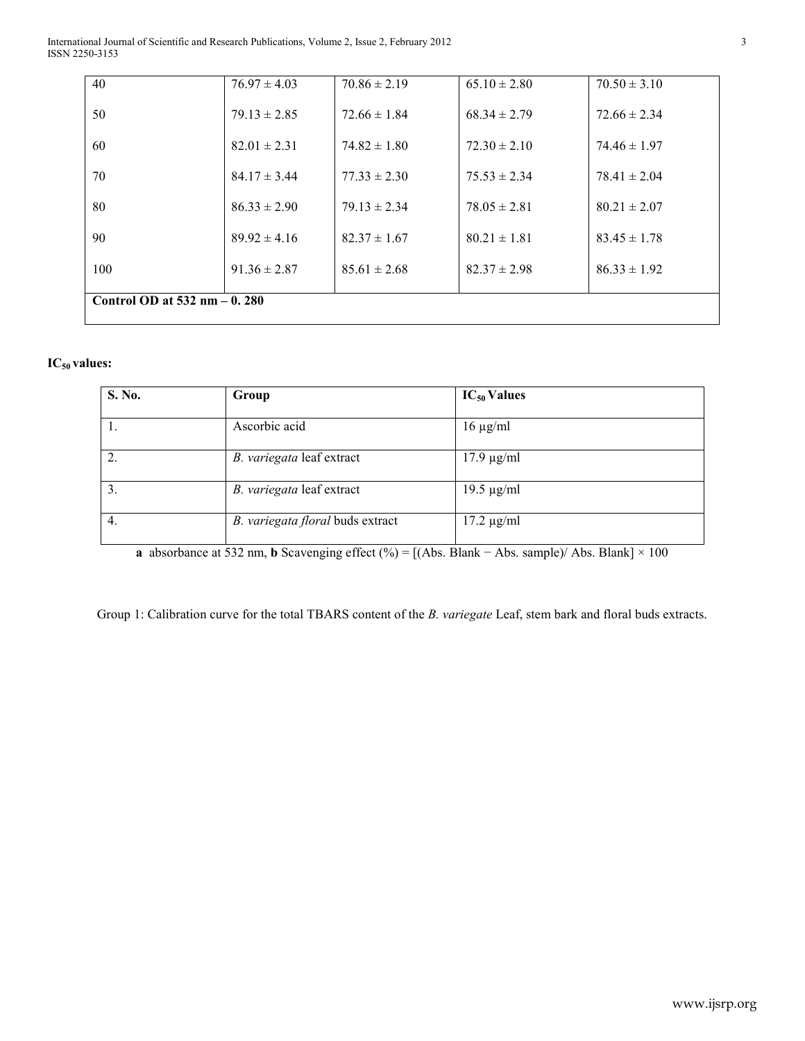| 40                              | $76.97 \pm 4.03$ | $70.86 \pm 2.19$ | $65.10 \pm 2.80$ | $70.50 \pm 3.10$ |  |
|---------------------------------|------------------|------------------|------------------|------------------|--|
| 50                              | $79.13 \pm 2.85$ | $72.66 \pm 1.84$ | $68.34 \pm 2.79$ | $72.66 \pm 2.34$ |  |
| 60                              | $82.01 \pm 2.31$ | $74.82 \pm 1.80$ | $72.30 \pm 2.10$ | $74.46 \pm 1.97$ |  |
| 70                              | $84.17 \pm 3.44$ | $77.33 \pm 2.30$ | $75.53 \pm 2.34$ | $78.41 \pm 2.04$ |  |
| 80                              | $86.33 \pm 2.90$ | $79.13 \pm 2.34$ | $78.05 \pm 2.81$ | $80.21 \pm 2.07$ |  |
| 90                              | $89.92 \pm 4.16$ | $82.37 \pm 1.67$ | $80.21 \pm 1.81$ | $83.45 \pm 1.78$ |  |
| 100                             | $91.36 \pm 2.87$ | $85.61 \pm 2.68$ | $82.37 \pm 2.98$ | $86.33 \pm 1.92$ |  |
| Control OD at $532$ nm $-0.280$ |                  |                  |                  |                  |  |
|                                 |                  |                  |                  |                  |  |

# **IC50 values:**

| S. No.         | Group                            | $IC_{50}$ Values |
|----------------|----------------------------------|------------------|
|                | Ascorbic acid                    | $16 \mu g/ml$    |
| $\overline{2}$ | B. variegata leaf extract        | $17.9 \mu g/ml$  |
| 3.             | B. variegata leaf extract        | $19.5 \mu g/ml$  |
| 4.             | B. variegata floral buds extract | $17.2 \mu g/ml$  |

**a** absorbance at 532 nm, **b** Scavenging effect (%) = [(Abs. Blank − Abs. sample)/ Abs. Blank] × 100

Group 1: Calibration curve for the total TBARS content of the *B. variegate* Leaf, stem bark and floral buds extracts.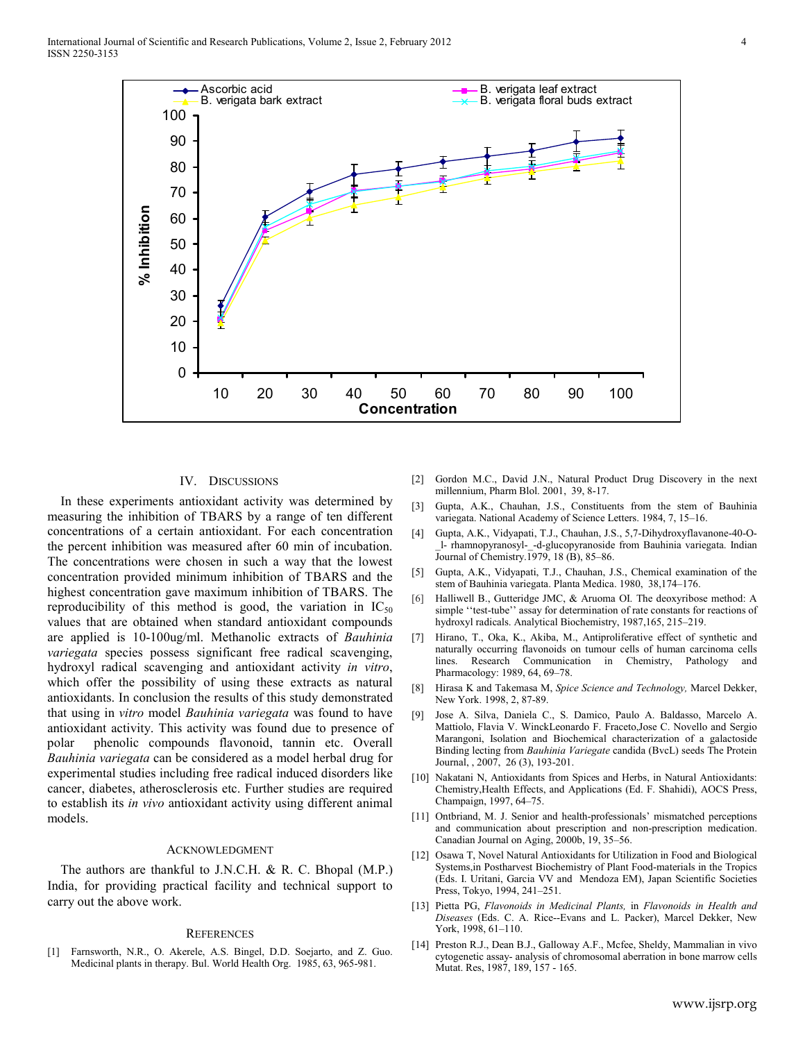International Journal of Scientific and Research Publications, Volume 2, Issue 2, February 2012 4 ISSN 2250-3153



#### IV. DISCUSSIONS

 In these experiments antioxidant activity was determined by measuring the inhibition of TBARS by a range of ten different concentrations of a certain antioxidant. For each concentration the percent inhibition was measured after 60 min of incubation. The concentrations were chosen in such a way that the lowest concentration provided minimum inhibition of TBARS and the highest concentration gave maximum inhibition of TBARS. The reproducibility of this method is good, the variation in  $IC_{50}$ values that are obtained when standard antioxidant compounds are applied is 10-100ug/ml. Methanolic extracts of *Bauhinia variegata* species possess significant free radical scavenging, hydroxyl radical scavenging and antioxidant activity *in vitro*, which offer the possibility of using these extracts as natural antioxidants. In conclusion the results of this study demonstrated that using in *vitro* model *Bauhinia variegata* was found to have antioxidant activity. This activity was found due to presence of polar phenolic compounds flavonoid, tannin etc. Overall *Bauhinia variegata* can be considered as a model herbal drug for experimental studies including free radical induced disorders like cancer, diabetes, atherosclerosis etc. Further studies are required to establish its *in vivo* antioxidant activity using different animal models.

#### ACKNOWLEDGMENT

The authors are thankful to J.N.C.H. & R. C. Bhopal (M.P.) India, for providing practical facility and technical support to carry out the above work.

#### **REFERENCES**

[1] Farnsworth, N.R., O. Akerele, A.S. Bingel, D.D. Soejarto, and Z. Guo. Medicinal plants in therapy. Bul. World Health Org. 1985, 63, 965-981.

- [2] Gordon M.C., David J.N., Natural Product Drug Discovery in the next millennium, Pharm Blol. 2001, 39, 8-17.
- [3] Gupta, A.K., Chauhan, J.S., Constituents from the stem of Bauhinia variegata. National Academy of Science Letters. 1984, 7, 15–16.
- [4] Gupta, A.K., Vidyapati, T.J., Chauhan, J.S., 5,7-Dihydroxyflavanone-40-O- \_l- rhamnopyranosyl-\_-d-glucopyranoside from Bauhinia variegata. Indian Journal of Chemistry.1979, 18 (B), 85–86.
- [5] Gupta, A.K., Vidyapati, T.J., Chauhan, J.S., Chemical examination of the stem of Bauhinia variegata. Planta Medica. 1980, 38,174–176.
- [6] Halliwell B., Gutteridge JMC, & Aruoma OI. The deoxyribose method: A simple "test-tube" assay for determination of rate constants for reactions of hydroxyl radicals. Analytical Biochemistry, 1987,165, 215–219.
- [7] Hirano, T., Oka, K., Akiba, M., Antiproliferative effect of synthetic and naturally occurring flavonoids on tumour cells of human carcinoma cells lines. Research Communication in Chemistry, Pathology and Pharmacology: 1989, 64, 69–78.
- [8] Hirasa K and Takemasa M, *Spice Science and Technology,* Marcel Dekker, New York. 1998, 2, 87-89.
- [9] Jose A. Silva, Daniela C., S. Damico, Paulo A. Baldasso, Marcelo A. Mattiolo, Flavia V. WinckLeonardo F. Fraceto,Jose C. Novello and Sergio Marangoni, Isolation and Biochemical characterization of a galactoside Binding lecting from *Bauhinia Variegate* candida (BvcL) seeds The Protein Journal, , 2007, 26 (3), 193-201.
- [10] Nakatani N, Antioxidants from Spices and Herbs, in Natural Antioxidants: Chemistry,Health Effects, and Applications (Ed. F. Shahidi), AOCS Press, Champaign, 1997, 64–75.
- [11] Ontbriand, M. J. Senior and health-professionals' mismatched perceptions and communication about prescription and non-prescription medication. Canadian Journal on Aging, 2000b, 19, 35–56.
- [12] Osawa T, Novel Natural Antioxidants for Utilization in Food and Biological Systems,in Postharvest Biochemistry of Plant Food-materials in the Tropics (Eds. I. Uritani, Garcia VV and Mendoza EM), Japan Scientific Societies Press, Tokyo, 1994, 241–251.
- [13] Pietta PG, *Flavonoids in Medicinal Plants,* in *Flavonoids in Health and Diseases* (Eds. C. A. Rice--Evans and L. Packer), Marcel Dekker, New York, 1998, 61–110.
- [14] Preston R.J., Dean B.J., Galloway A.F., Mcfee, Sheldy, Mammalian in vivo cytogenetic assay- analysis of chromosomal aberration in bone marrow cells Mutat. Res, 1987, 189, 157 - 165.